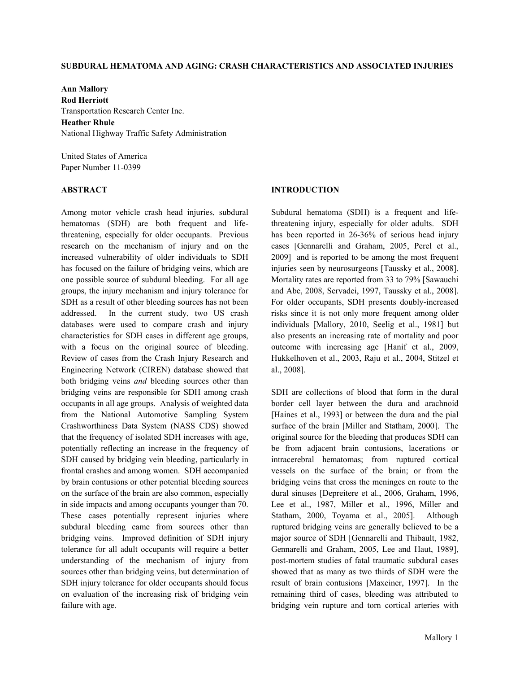### **SUBDURAL HEMATOMA AND AGING: CRASH CHARACTERISTICS AND ASSOCIATED INJURIES**

**Ann Mallory Rod Herriott**  Transportation Research Center Inc. **Heather Rhule**  National Highway Traffic Safety Administration

United States of America Paper Number 11-0399

# **ABSTRACT**

Among motor vehicle crash head injuries, subdural hematomas (SDH) are both frequent and lifethreatening, especially for older occupants. Previous research on the mechanism of injury and on the increased vulnerability of older individuals to SDH has focused on the failure of bridging veins, which are one possible source of subdural bleeding. For all age groups, the injury mechanism and injury tolerance for SDH as a result of other bleeding sources has not been addressed. In the current study, two US crash databases were used to compare crash and injury characteristics for SDH cases in different age groups, with a focus on the original source of bleeding. Review of cases from the Crash Injury Research and Engineering Network (CIREN) database showed that both bridging veins *and* bleeding sources other than bridging veins are responsible for SDH among crash occupants in all age groups. Analysis of weighted data from the National Automotive Sampling System Crashworthiness Data System (NASS CDS) showed that the frequency of isolated SDH increases with age, potentially reflecting an increase in the frequency of SDH caused by bridging vein bleeding, particularly in frontal crashes and among women. SDH accompanied by brain contusions or other potential bleeding sources on the surface of the brain are also common, especially in side impacts and among occupants younger than 70. These cases potentially represent injuries where subdural bleeding came from sources other than bridging veins. Improved definition of SDH injury tolerance for all adult occupants will require a better understanding of the mechanism of injury from sources other than bridging veins, but determination of SDH injury tolerance for older occupants should focus on evaluation of the increasing risk of bridging vein failure with age.

### **INTRODUCTION**

Subdural hematoma (SDH) is a frequent and lifethreatening injury, especially for older adults.SDH has been reported in 26-36% of serious head injury cases [Gennarelli and Graham, 2005, Perel et al., 2009] and is reported to be among the most frequent injuries seen by neurosurgeons [Taussky et al., 2008]. Mortality rates are reported from 33 to 79% [Sawauchi and Abe, 2008, Servadei, 1997, Taussky et al., 2008]. For older occupants, SDH presents doubly-increased risks since it is not only more frequent among older individuals [Mallory, 2010, Seelig et al., 1981] but also presents an increasing rate of mortality and poor outcome with increasing age [Hanif et al., 2009, Hukkelhoven et al., 2003, Raju et al., 2004, Stitzel et al., 2008].

SDH are collections of blood that form in the dural border cell layer between the dura and arachnoid [Haines et al., 1993] or between the dura and the pial surface of the brain [Miller and Statham, 2000]. The original source for the bleeding that produces SDH can be from adjacent brain contusions, lacerations or intracerebral hematomas; from ruptured cortical vessels on the surface of the brain; or from the bridging veins that cross the meninges en route to the dural sinuses [Depreitere et al., 2006, Graham, 1996, Lee et al., 1987, Miller et al., 1996, Miller and Statham, 2000, Toyama et al., 2005]. Although ruptured bridging veins are generally believed to be a major source of SDH [Gennarelli and Thibault, 1982, Gennarelli and Graham, 2005, Lee and Haut, 1989], post-mortem studies of fatal traumatic subdural cases showed that as many as two thirds of SDH were the result of brain contusions [Maxeiner, 1997]. In the remaining third of cases, bleeding was attributed to bridging vein rupture and torn cortical arteries with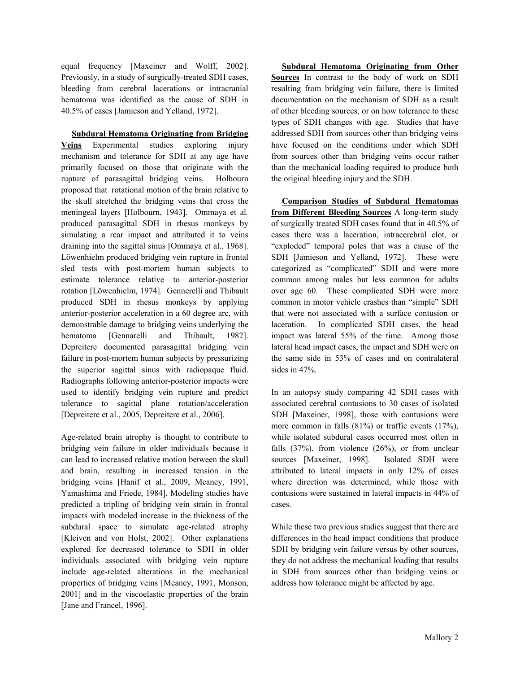equal frequency [Maxeiner and Wolff, 2002]. Previously, in a study of surgically-treated SDH cases, bleeding from cerebral lacerations or intracranial hematoma was identified as the cause of SDH in 40.5% of cases [Jamieson and Yelland, 1972].

 **Subdural Hematoma Originating from Bridging Veins** Experimental studies exploring injury mechanism and tolerance for SDH at any age have primarily focused on those that originate with the rupture of parasagittal bridging veins. Holbourn proposed that rotational motion of the brain relative to the skull stretched the bridging veins that cross the meningeal layers [Holbourn, 1943]. Ommaya et al*.*  produced parasagittal SDH in rhesus monkeys by simulating a rear impact and attributed it to veins draining into the sagittal sinus [Ommaya et al., 1968]. Löwenhielm produced bridging vein rupture in frontal sled tests with post-mortem human subjects to estimate tolerance relative to anterior-posterior rotation [Löwenhielm, 1974]. Gennerelli and Thibault produced SDH in rhesus monkeys by applying anterior-posterior acceleration in a 60 degree arc, with demonstrable damage to bridging veins underlying the hematoma [Gennarelli and Thibault, 1982]. Depreitere documented parasagittal bridging vein failure in post-mortem human subjects by pressurizing the superior sagittal sinus with radiopaque fluid. Radiographs following anterior-posterior impacts were used to identify bridging vein rupture and predict tolerance to sagittal plane rotation/acceleration [Depreitere et al., 2005, Depreitere et al., 2006].

Age-related brain atrophy is thought to contribute to bridging vein failure in older individuals because it can lead to increased relative motion between the skull and brain, resulting in increased tension in the bridging veins [Hanif et al., 2009, Meaney, 1991, Yamashima and Friede, 1984]. Modeling studies have predicted a tripling of bridging vein strain in frontal impacts with modeled increase in the thickness of the subdural space to simulate age-related atrophy [Kleiven and von Holst, 2002]. Other explanations explored for decreased tolerance to SDH in older individuals associated with bridging vein rupture include age-related alterations in the mechanical properties of bridging veins [Meaney, 1991, Monson, 2001] and in the viscoelastic properties of the brain [Jane and Francel, 1996].

 **Subdural Hematoma Originating from Other Sources** In contrast to the body of work on SDH resulting from bridging vein failure, there is limited documentation on the mechanism of SDH as a result of other bleeding sources, or on how tolerance to these types of SDH changes with age. Studies that have addressed SDH from sources other than bridging veins have focused on the conditions under which SDH from sources other than bridging veins occur rather than the mechanical loading required to produce both the original bleeding injury and the SDH.

 **Comparison Studies of Subdural Hematomas from Different Bleeding Sources** A long-term study of surgically treated SDH cases found that in 40.5% of cases there was a laceration, intracerebral clot, or "exploded" temporal poles that was a cause of the SDH [Jamieson and Yelland, 1972]. These were categorized as "complicated" SDH and were more common among males but less common for adults over age 60. These complicated SDH were more common in motor vehicle crashes than "simple" SDH that were not associated with a surface contusion or laceration. In complicated SDH cases, the head impact was lateral 55% of the time. Among those lateral head impact cases, the impact and SDH were on the same side in 53% of cases and on contralateral sides in 47%.

In an autopsy study comparing 42 SDH cases with associated cerebral contusions to 30 cases of isolated SDH [Maxeiner, 1998], those with contusions were more common in falls (81%) or traffic events (17%), while isolated subdural cases occurred most often in falls  $(37%)$ , from violence  $(26%)$ , or from unclear sources [Maxeiner, 1998]. Isolated SDH were attributed to lateral impacts in only 12% of cases where direction was determined, while those with contusions were sustained in lateral impacts in 44% of cases.

While these two previous studies suggest that there are differences in the head impact conditions that produce SDH by bridging vein failure versus by other sources, they do not address the mechanical loading that results in SDH from sources other than bridging veins or address how tolerance might be affected by age.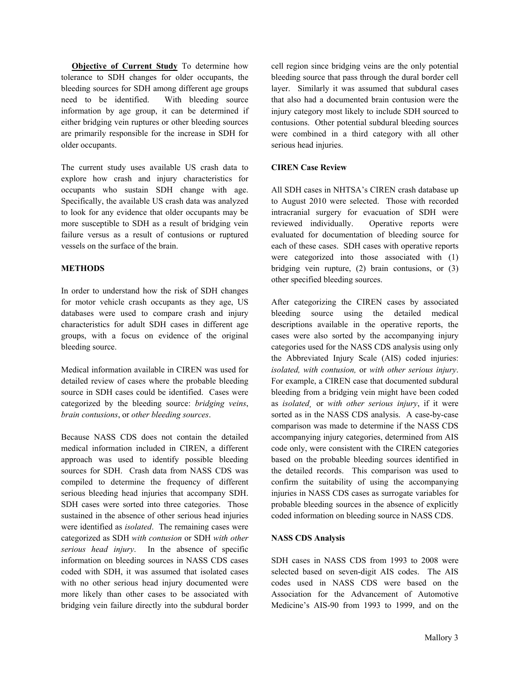**Objective of Current Study** To determine how tolerance to SDH changes for older occupants, the bleeding sources for SDH among different age groups need to be identified. With bleeding source information by age group, it can be determined if either bridging vein ruptures or other bleeding sources are primarily responsible for the increase in SDH for older occupants.

The current study uses available US crash data to explore how crash and injury characteristics for occupants who sustain SDH change with age. Specifically, the available US crash data was analyzed to look for any evidence that older occupants may be more susceptible to SDH as a result of bridging vein failure versus as a result of contusions or ruptured vessels on the surface of the brain.

# **METHODS**

In order to understand how the risk of SDH changes for motor vehicle crash occupants as they age, US databases were used to compare crash and injury characteristics for adult SDH cases in different age groups, with a focus on evidence of the original bleeding source.

Medical information available in CIREN was used for detailed review of cases where the probable bleeding source in SDH cases could be identified. Cases were categorized by the bleeding source: *bridging veins*, *brain contusions*, or *other bleeding sources*.

Because NASS CDS does not contain the detailed medical information included in CIREN, a different approach was used to identify possible bleeding sources for SDH. Crash data from NASS CDS was compiled to determine the frequency of different serious bleeding head injuries that accompany SDH. SDH cases were sorted into three categories. Those sustained in the absence of other serious head injuries were identified as *isolated*. The remaining cases were categorized as SDH *with contusion* or SDH *with other serious head injury*. In the absence of specific information on bleeding sources in NASS CDS cases coded with SDH, it was assumed that isolated cases with no other serious head injury documented were more likely than other cases to be associated with bridging vein failure directly into the subdural border cell region since bridging veins are the only potential bleeding source that pass through the dural border cell layer. Similarly it was assumed that subdural cases that also had a documented brain contusion were the injury category most likely to include SDH sourced to contusions. Other potential subdural bleeding sources were combined in a third category with all other serious head injuries.

# **CIREN Case Review**

All SDH cases in NHTSA's CIREN crash database up to August 2010 were selected. Those with recorded intracranial surgery for evacuation of SDH were reviewed individually. Operative reports were evaluated for documentation of bleeding source for each of these cases. SDH cases with operative reports were categorized into those associated with (1) bridging vein rupture, (2) brain contusions, or (3) other specified bleeding sources.

After categorizing the CIREN cases by associated bleeding source using the detailed medical descriptions available in the operative reports, the cases were also sorted by the accompanying injury categories used for the NASS CDS analysis using only the Abbreviated Injury Scale (AIS) coded injuries: *isolated, with contusion,* or *with other serious injury*. For example, a CIREN case that documented subdural bleeding from a bridging vein might have been coded as *isolated¸* or *with other serious injury*, if it were sorted as in the NASS CDS analysis. A case-by-case comparison was made to determine if the NASS CDS accompanying injury categories, determined from AIS code only, were consistent with the CIREN categories based on the probable bleeding sources identified in the detailed records. This comparison was used to confirm the suitability of using the accompanying injuries in NASS CDS cases as surrogate variables for probable bleeding sources in the absence of explicitly coded information on bleeding source in NASS CDS.

# **NASS CDS Analysis**

SDH cases in NASS CDS from 1993 to 2008 were selected based on seven-digit AIS codes. The AIS codes used in NASS CDS were based on the Association for the Advancement of Automotive Medicine's AIS-90 from 1993 to 1999, and on the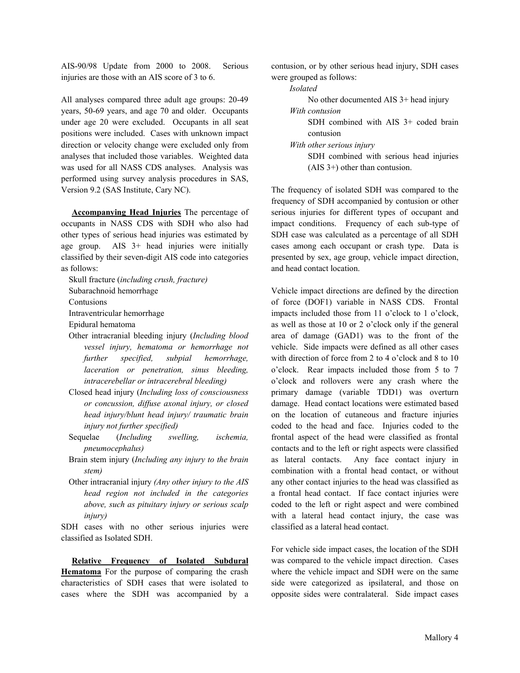AIS-90/98 Update from 2000 to 2008. Serious injuries are those with an AIS score of 3 to 6.

All analyses compared three adult age groups: 20-49 years, 50-69 years, and age 70 and older. Occupants under age 20 were excluded. Occupants in all seat positions were included. Cases with unknown impact direction or velocity change were excluded only from analyses that included those variables. Weighted data was used for all NASS CDS analyses. Analysis was performed using survey analysis procedures in SAS, Version 9.2 (SAS Institute, Cary NC).

 **Accompanying Head Injuries** The percentage of occupants in NASS CDS with SDH who also had other types of serious head injuries was estimated by age group. AIS 3+ head injuries were initially classified by their seven-digit AIS code into categories as follows:

Skull fracture (*including crush, fracture)* 

Subarachnoid hemorrhage

Contusions

Intraventricular hemorrhage

Epidural hematoma

- Other intracranial bleeding injury (*Including blood vessel injury, hematoma or hemorrhage not further specified, subpial hemorrhage, laceration or penetration, sinus bleeding, intracerebellar or intracerebral bleeding)*
- Closed head injury (*Including loss of consciousness or concussion, diffuse axonal injury, or closed head injury/blunt head injury/ traumatic brain injury not further specified)*
- Sequelae (*Including swelling, ischemia, pneumocephalus)*
- Brain stem injury (*Including any injury to the brain stem)*
- Other intracranial injury *(Any other injury to the AIS head region not included in the categories above, such as pituitary injury or serious scalp injury)*

SDH cases with no other serious injuries were classified as Isolated SDH.

 **Relative Frequency of Isolated Subdural Hematoma** For the purpose of comparing the crash characteristics of SDH cases that were isolated to cases where the SDH was accompanied by a contusion, or by other serious head injury, SDH cases were grouped as follows:

*Isolated* 

 No other documented AIS 3+ head injury *With contusion* 

 SDH combined with AIS 3+ coded brain contusion

*With other serious injury* 

 SDH combined with serious head injuries (AIS 3+) other than contusion.

The frequency of isolated SDH was compared to the frequency of SDH accompanied by contusion or other serious injuries for different types of occupant and impact conditions. Frequency of each sub-type of SDH case was calculated as a percentage of all SDH cases among each occupant or crash type. Data is presented by sex, age group, vehicle impact direction, and head contact location.

Vehicle impact directions are defined by the direction of force (DOF1) variable in NASS CDS. Frontal impacts included those from 11 o'clock to 1 o'clock, as well as those at 10 or 2 o'clock only if the general area of damage (GAD1) was to the front of the vehicle. Side impacts were defined as all other cases with direction of force from 2 to 4 o'clock and 8 to 10 o'clock. Rear impacts included those from 5 to 7 o'clock and rollovers were any crash where the primary damage (variable TDD1) was overturn damage. Head contact locations were estimated based on the location of cutaneous and fracture injuries coded to the head and face. Injuries coded to the frontal aspect of the head were classified as frontal contacts and to the left or right aspects were classified as lateral contacts. Any face contact injury in combination with a frontal head contact, or without any other contact injuries to the head was classified as a frontal head contact. If face contact injuries were coded to the left or right aspect and were combined with a lateral head contact injury, the case was classified as a lateral head contact.

For vehicle side impact cases, the location of the SDH was compared to the vehicle impact direction. Cases where the vehicle impact and SDH were on the same side were categorized as ipsilateral, and those on opposite sides were contralateral. Side impact cases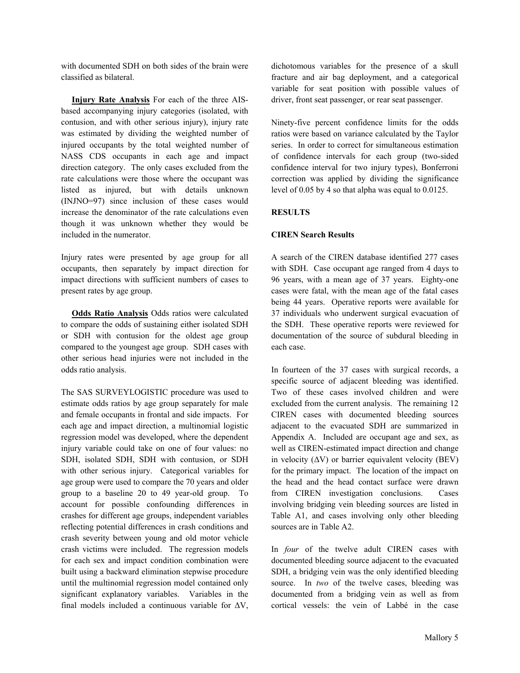with documented SDH on both sides of the brain were classified as bilateral.

 **Injury Rate Analysis** For each of the three AISbased accompanying injury categories (isolated, with contusion, and with other serious injury), injury rate was estimated by dividing the weighted number of injured occupants by the total weighted number of NASS CDS occupants in each age and impact direction category. The only cases excluded from the rate calculations were those where the occupant was listed as injured, but with details unknown (INJNO=97) since inclusion of these cases would increase the denominator of the rate calculations even though it was unknown whether they would be included in the numerator.

Injury rates were presented by age group for all occupants, then separately by impact direction for impact directions with sufficient numbers of cases to present rates by age group.

 **Odds Ratio Analysis** Odds ratios were calculated to compare the odds of sustaining either isolated SDH or SDH with contusion for the oldest age group compared to the youngest age group. SDH cases with other serious head injuries were not included in the odds ratio analysis.

The SAS SURVEYLOGISTIC procedure was used to estimate odds ratios by age group separately for male and female occupants in frontal and side impacts. For each age and impact direction, a multinomial logistic regression model was developed, where the dependent injury variable could take on one of four values: no SDH, isolated SDH, SDH with contusion, or SDH with other serious injury. Categorical variables for age group were used to compare the 70 years and older group to a baseline 20 to 49 year-old group. To account for possible confounding differences in crashes for different age groups, independent variables reflecting potential differences in crash conditions and crash severity between young and old motor vehicle crash victims were included. The regression models for each sex and impact condition combination were built using a backward elimination stepwise procedure until the multinomial regression model contained only significant explanatory variables. Variables in the final models included a continuous variable for  $\Delta V$ , dichotomous variables for the presence of a skull fracture and air bag deployment, and a categorical variable for seat position with possible values of driver, front seat passenger, or rear seat passenger.

Ninety-five percent confidence limits for the odds ratios were based on variance calculated by the Taylor series. In order to correct for simultaneous estimation of confidence intervals for each group (two-sided confidence interval for two injury types), Bonferroni correction was applied by dividing the significance level of 0.05 by 4 so that alpha was equal to 0.0125.

# **RESULTS**

# **CIREN Search Results**

A search of the CIREN database identified 277 cases with SDH. Case occupant age ranged from 4 days to 96 years, with a mean age of 37 years. Eighty-one cases were fatal, with the mean age of the fatal cases being 44 years. Operative reports were available for 37 individuals who underwent surgical evacuation of the SDH. These operative reports were reviewed for documentation of the source of subdural bleeding in each case.

In fourteen of the 37 cases with surgical records, a specific source of adjacent bleeding was identified. Two of these cases involved children and were excluded from the current analysis. The remaining 12 CIREN cases with documented bleeding sources adjacent to the evacuated SDH are summarized in Appendix A. Included are occupant age and sex, as well as CIREN-estimated impact direction and change in velocity  $(\Delta V)$  or barrier equivalent velocity (BEV) for the primary impact. The location of the impact on the head and the head contact surface were drawn from CIREN investigation conclusions. Cases involving bridging vein bleeding sources are listed in Table A1, and cases involving only other bleeding sources are in Table A2.

In *four* of the twelve adult CIREN cases with documented bleeding source adjacent to the evacuated SDH, a bridging vein was the only identified bleeding source. In *two* of the twelve cases, bleeding was documented from a bridging vein as well as from cortical vessels: the vein of Labbé in the case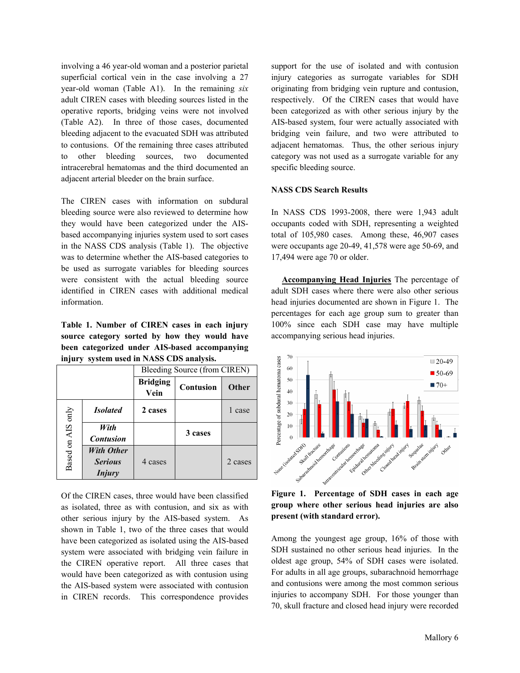involving a 46 year-old woman and a posterior parietal superficial cortical vein in the case involving a 27 year-old woman (Table A1). In the remaining *six* adult CIREN cases with bleeding sources listed in the operative reports, bridging veins were not involved (Table A2). In three of those cases, documented bleeding adjacent to the evacuated SDH was attributed to contusions. Of the remaining three cases attributed to other bleeding sources, two documented intracerebral hematomas and the third documented an adjacent arterial bleeder on the brain surface.

The CIREN cases with information on subdural bleeding source were also reviewed to determine how they would have been categorized under the AISbased accompanying injuries system used to sort cases in the NASS CDS analysis (Table 1). The objective was to determine whether the AIS-based categories to be used as surrogate variables for bleeding sources were consistent with the actual bleeding source identified in CIREN cases with additional medical information.

**Table 1. Number of CIREN cases in each injury source category sorted by how they would have been categorized under AIS-based accompanying injury system used in NASS CDS analysis.** 

|                   |                                                      | Bleeding Source (from CIREN) |                  |         |  |
|-------------------|------------------------------------------------------|------------------------------|------------------|---------|--|
|                   |                                                      | <b>Bridging</b><br>Vein      | <b>Contusion</b> | Other   |  |
| Based on AIS only | <b>Isolated</b>                                      | 2 cases                      |                  | 1 case  |  |
|                   | With<br><b>Contusion</b>                             |                              | 3 cases          |         |  |
|                   | <b>With Other</b><br><b>Serious</b><br><i>Injury</i> | 4 cases                      |                  | 2 cases |  |

Of the CIREN cases, three would have been classified as isolated, three as with contusion, and six as with other serious injury by the AIS-based system. As shown in Table 1, two of the three cases that would have been categorized as isolated using the AIS-based system were associated with bridging vein failure in the CIREN operative report. All three cases that would have been categorized as with contusion using the AIS-based system were associated with contusion in CIREN records. This correspondence provides

support for the use of isolated and with contusion injury categories as surrogate variables for SDH originating from bridging vein rupture and contusion, respectively. Of the CIREN cases that would have been categorized as with other serious injury by the AIS-based system, four were actually associated with bridging vein failure, and two were attributed to adjacent hematomas. Thus, the other serious injury category was not used as a surrogate variable for any specific bleeding source.

#### **NASS CDS Search Results**

In NASS CDS 1993-2008, there were 1,943 adult occupants coded with SDH, representing a weighted total of 105,980 cases. Among these, 46,907 cases were occupants age 20-49, 41,578 were age 50-69, and 17,494 were age 70 or older.

 **Accompanying Head Injuries** The percentage of adult SDH cases where there were also other serious head injuries documented are shown in Figure 1. The percentages for each age group sum to greater than 100% since each SDH case may have multiple accompanying serious head injuries.



**Figure 1. Percentage of SDH cases in each age group where other serious head injuries are also present (with standard error).** 

Among the youngest age group, 16% of those with SDH sustained no other serious head injuries. In the oldest age group, 54% of SDH cases were isolated. For adults in all age groups, subarachnoid hemorrhage and contusions were among the most common serious injuries to accompany SDH. For those younger than 70, skull fracture and closed head injury were recorded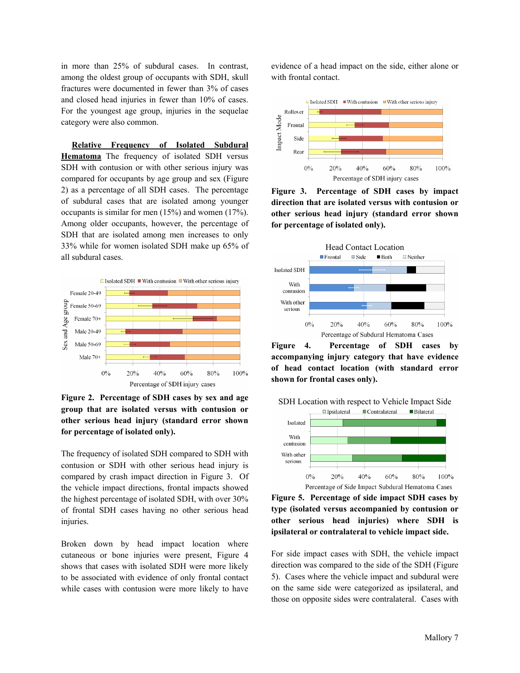in more than 25% of subdural cases. In contrast, among the oldest group of occupants with SDH, skull fractures were documented in fewer than 3% of cases and closed head injuries in fewer than 10% of cases. For the youngest age group, injuries in the sequelae category were also common.

 **Relative Frequency of Isolated Subdural Hematoma** The frequency of isolated SDH versus SDH with contusion or with other serious injury was compared for occupants by age group and sex (Figure 2) as a percentage of all SDH cases. The percentage of subdural cases that are isolated among younger occupants is similar for men (15%) and women (17%). Among older occupants, however, the percentage of SDH that are isolated among men increases to only 33% while for women isolated SDH make up 65% of all subdural cases.



**Figure 2. Percentage of SDH cases by sex and age group that are isolated versus with contusion or other serious head injury (standard error shown for percentage of isolated only).** 

The frequency of isolated SDH compared to SDH with contusion or SDH with other serious head injury is compared by crash impact direction in Figure 3. Of the vehicle impact directions, frontal impacts showed the highest percentage of isolated SDH, with over 30% of frontal SDH cases having no other serious head injuries.

Broken down by head impact location where cutaneous or bone injuries were present, Figure 4 shows that cases with isolated SDH were more likely to be associated with evidence of only frontal contact while cases with contusion were more likely to have evidence of a head impact on the side, either alone or with frontal contact.



**Figure 3. Percentage of SDH cases by impact direction that are isolated versus with contusion or other serious head injury (standard error shown for percentage of isolated only).** 



**Figure 4. Percentage of SDH cases by accompanying injury category that have evidence of head contact location (with standard error shown for frontal cases only).** 



**Figure 5. Percentage of side impact SDH cases by type (isolated versus accompanied by contusion or other serious head injuries) where SDH is ipsilateral or contralateral to vehicle impact side.** 

For side impact cases with SDH, the vehicle impact direction was compared to the side of the SDH (Figure 5). Cases where the vehicle impact and subdural were on the same side were categorized as ipsilateral, and those on opposite sides were contralateral. Cases with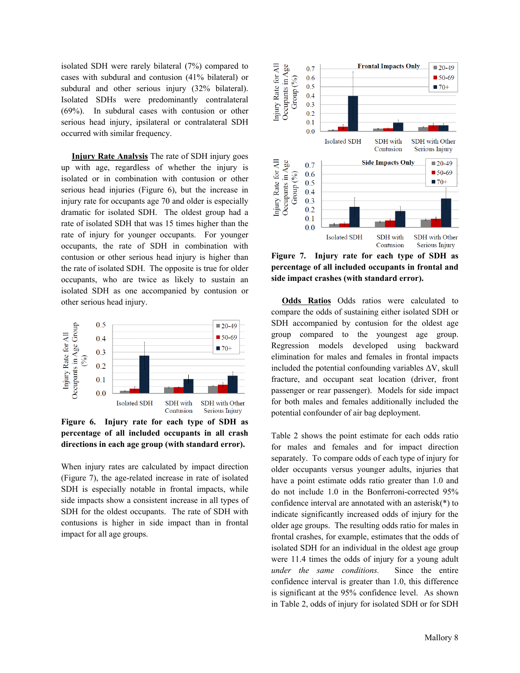isolated SDH were rarely bilateral (7%) compared to cases with subdural and contusion (41% bilateral) or subdural and other serious injury (32% bilateral). Isolated SDHs were predominantly contralateral (69%). In subdural cases with contusion or other serious head injury, ipsilateral or contralateral SDH occurred with similar frequency.

 **Injury Rate Analysis** The rate of SDH injury goes up with age, regardless of whether the injury is isolated or in combination with contusion or other serious head injuries (Figure 6), but the increase in injury rate for occupants age 70 and older is especially dramatic for isolated SDH. The oldest group had a rate of isolated SDH that was 15 times higher than the rate of injury for younger occupants. For younger occupants, the rate of SDH in combination with contusion or other serious head injury is higher than the rate of isolated SDH. The opposite is true for older occupants, who are twice as likely to sustain an isolated SDH as one accompanied by contusion or other serious head injury.



**Figure 6. Injury rate for each type of SDH as percentage of all included occupants in all crash directions in each age group (with standard error).** 

When injury rates are calculated by impact direction (Figure 7), the age-related increase in rate of isolated SDH is especially notable in frontal impacts, while side impacts show a consistent increase in all types of SDH for the oldest occupants. The rate of SDH with contusions is higher in side impact than in frontal impact for all age groups.



**Figure 7. Injury rate for each type of SDH as percentage of all included occupants in frontal and side impact crashes (with standard error).** 

 **Odds Ratios** Odds ratios were calculated to compare the odds of sustaining either isolated SDH or SDH accompanied by contusion for the oldest age group compared to the youngest age group. Regression models developed using backward elimination for males and females in frontal impacts included the potential confounding variables  $\Delta V$ , skull fracture, and occupant seat location (driver, front passenger or rear passenger). Models for side impact for both males and females additionally included the potential confounder of air bag deployment.

Table 2 shows the point estimate for each odds ratio for males and females and for impact direction separately. To compare odds of each type of injury for older occupants versus younger adults, injuries that have a point estimate odds ratio greater than 1.0 and do not include 1.0 in the Bonferroni-corrected 95% confidence interval are annotated with an asterisk(\*) to indicate significantly increased odds of injury for the older age groups. The resulting odds ratio for males in frontal crashes, for example, estimates that the odds of isolated SDH for an individual in the oldest age group were 11.4 times the odds of injury for a young adult *under the same conditions.* Since the entire confidence interval is greater than 1.0, this difference is significant at the 95% confidence level. As shown in Table 2, odds of injury for isolated SDH or for SDH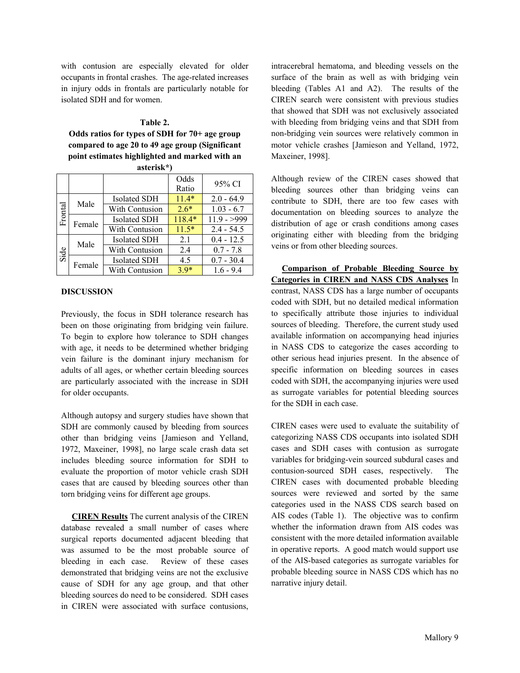with contusion are especially elevated for older occupants in frontal crashes. The age-related increases in injury odds in frontals are particularly notable for isolated SDH and for women.

#### **Table 2.**

**Odds ratios for types of SDH for 70+ age group compared to age 20 to 49 age group (Significant point estimates highlighted and marked with an** 

|         |        |                     | Odds    | 95% CI        |
|---------|--------|---------------------|---------|---------------|
|         |        |                     | Ratio   |               |
| Frontal | Male   | <b>Isolated SDH</b> | $11.4*$ | $2.0 - 64.9$  |
|         |        | With Contusion      | $2.6*$  | $1.03 - 6.7$  |
|         | Female | <b>Isolated SDH</b> | 118.4*  | $11.9 - >999$ |
|         |        | With Contusion      | $11.5*$ | $2.4 - 54.5$  |
| Side    | Male   | <b>Isolated SDH</b> | 2.1     | $0.4 - 12.5$  |
|         |        | With Contusion      | 2.4     | $0.7 - 7.8$   |
|         | Female | <b>Isolated SDH</b> | 4.5     | $0.7 - 30.4$  |
|         |        | With Contusion      | $3.9*$  | $1.6 - 9.4$   |

| asterisk*) |  |  |
|------------|--|--|

#### **DISCUSSION**

Previously, the focus in SDH tolerance research has been on those originating from bridging vein failure. To begin to explore how tolerance to SDH changes with age, it needs to be determined whether bridging vein failure is the dominant injury mechanism for adults of all ages, or whether certain bleeding sources are particularly associated with the increase in SDH for older occupants.

Although autopsy and surgery studies have shown that SDH are commonly caused by bleeding from sources other than bridging veins [Jamieson and Yelland, 1972, Maxeiner, 1998], no large scale crash data set includes bleeding source information for SDH to evaluate the proportion of motor vehicle crash SDH cases that are caused by bleeding sources other than torn bridging veins for different age groups.

 **CIREN Results** The current analysis of the CIREN database revealed a small number of cases where surgical reports documented adjacent bleeding that was assumed to be the most probable source of bleeding in each case. Review of these cases demonstrated that bridging veins are not the exclusive cause of SDH for any age group, and that other bleeding sources do need to be considered. SDH cases in CIREN were associated with surface contusions,

intracerebral hematoma, and bleeding vessels on the surface of the brain as well as with bridging vein bleeding (Tables A1 and A2). The results of the CIREN search were consistent with previous studies that showed that SDH was not exclusively associated with bleeding from bridging veins and that SDH from non-bridging vein sources were relatively common in motor vehicle crashes [Jamieson and Yelland, 1972, Maxeiner, 1998].

Although review of the CIREN cases showed that bleeding sources other than bridging veins can contribute to SDH, there are too few cases with documentation on bleeding sources to analyze the distribution of age or crash conditions among cases originating either with bleeding from the bridging veins or from other bleeding sources.

 **Comparison of Probable Bleeding Source by Categories in CIREN and NASS CDS Analyses** In contrast, NASS CDS has a large number of occupants coded with SDH, but no detailed medical information to specifically attribute those injuries to individual sources of bleeding. Therefore, the current study used available information on accompanying head injuries in NASS CDS to categorize the cases according to other serious head injuries present. In the absence of specific information on bleeding sources in cases coded with SDH, the accompanying injuries were used as surrogate variables for potential bleeding sources for the SDH in each case.

CIREN cases were used to evaluate the suitability of categorizing NASS CDS occupants into isolated SDH cases and SDH cases with contusion as surrogate variables for bridging-vein sourced subdural cases and contusion-sourced SDH cases, respectively. The CIREN cases with documented probable bleeding sources were reviewed and sorted by the same categories used in the NASS CDS search based on AIS codes (Table 1). The objective was to confirm whether the information drawn from AIS codes was consistent with the more detailed information available in operative reports. A good match would support use of the AIS-based categories as surrogate variables for probable bleeding source in NASS CDS which has no narrative injury detail.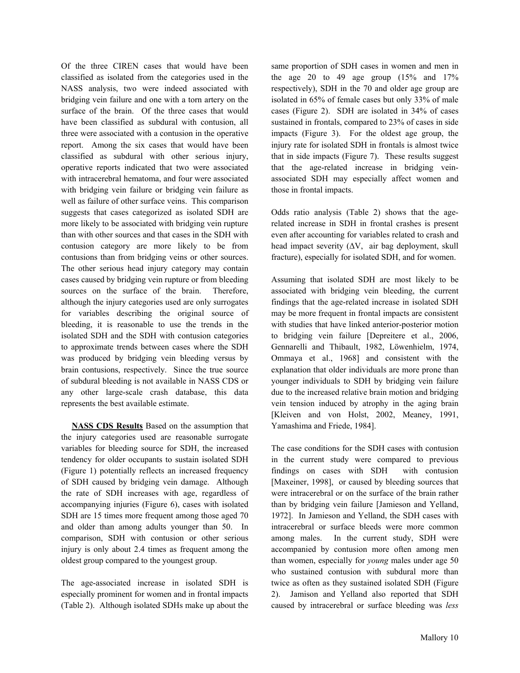Of the three CIREN cases that would have been classified as isolated from the categories used in the NASS analysis, two were indeed associated with bridging vein failure and one with a torn artery on the surface of the brain. Of the three cases that would have been classified as subdural with contusion, all three were associated with a contusion in the operative report. Among the six cases that would have been classified as subdural with other serious injury, operative reports indicated that two were associated with intracerebral hematoma, and four were associated with bridging vein failure or bridging vein failure as well as failure of other surface veins. This comparison suggests that cases categorized as isolated SDH are more likely to be associated with bridging vein rupture than with other sources and that cases in the SDH with contusion category are more likely to be from contusions than from bridging veins or other sources. The other serious head injury category may contain cases caused by bridging vein rupture or from bleeding sources on the surface of the brain. Therefore, although the injury categories used are only surrogates for variables describing the original source of bleeding, it is reasonable to use the trends in the isolated SDH and the SDH with contusion categories to approximate trends between cases where the SDH was produced by bridging vein bleeding versus by brain contusions, respectively. Since the true source of subdural bleeding is not available in NASS CDS or any other large-scale crash database, this data represents the best available estimate.

 **NASS CDS Results** Based on the assumption that the injury categories used are reasonable surrogate variables for bleeding source for SDH, the increased tendency for older occupants to sustain isolated SDH (Figure 1) potentially reflects an increased frequency of SDH caused by bridging vein damage. Although the rate of SDH increases with age, regardless of accompanying injuries (Figure 6), cases with isolated SDH are 15 times more frequent among those aged 70 and older than among adults younger than 50. In comparison, SDH with contusion or other serious injury is only about 2.4 times as frequent among the oldest group compared to the youngest group.

The age-associated increase in isolated SDH is especially prominent for women and in frontal impacts (Table 2). Although isolated SDHs make up about the

same proportion of SDH cases in women and men in the age 20 to 49 age group  $(15\% \text{ and } 17\%)$ respectively), SDH in the 70 and older age group are isolated in 65% of female cases but only 33% of male cases (Figure 2). SDH are isolated in 34% of cases sustained in frontals, compared to 23% of cases in side impacts (Figure 3). For the oldest age group, the injury rate for isolated SDH in frontals is almost twice that in side impacts (Figure 7). These results suggest that the age-related increase in bridging veinassociated SDH may especially affect women and those in frontal impacts.

Odds ratio analysis (Table 2) shows that the agerelated increase in SDH in frontal crashes is present even after accounting for variables related to crash and head impact severity  $(\Delta V, \text{ air bag deployment}, \text{ skull})$ fracture), especially for isolated SDH, and for women.

Assuming that isolated SDH are most likely to be associated with bridging vein bleeding, the current findings that the age-related increase in isolated SDH may be more frequent in frontal impacts are consistent with studies that have linked anterior-posterior motion to bridging vein failure [Depreitere et al., 2006, Gennarelli and Thibault, 1982, Löwenhielm, 1974, Ommaya et al., 1968] and consistent with the explanation that older individuals are more prone than younger individuals to SDH by bridging vein failure due to the increased relative brain motion and bridging vein tension induced by atrophy in the aging brain [Kleiven and von Holst, 2002, Meaney, 1991, Yamashima and Friede, 1984].

The case conditions for the SDH cases with contusion in the current study were compared to previous findings on cases with SDH with contusion [Maxeiner, 1998], or caused by bleeding sources that were intracerebral or on the surface of the brain rather than by bridging vein failure [Jamieson and Yelland, 1972]. In Jamieson and Yelland, the SDH cases with intracerebral or surface bleeds were more common among males. In the current study, SDH were accompanied by contusion more often among men than women, especially for *young* males under age 50 who sustained contusion with subdural more than twice as often as they sustained isolated SDH (Figure 2). Jamison and Yelland also reported that SDH caused by intracerebral or surface bleeding was *less*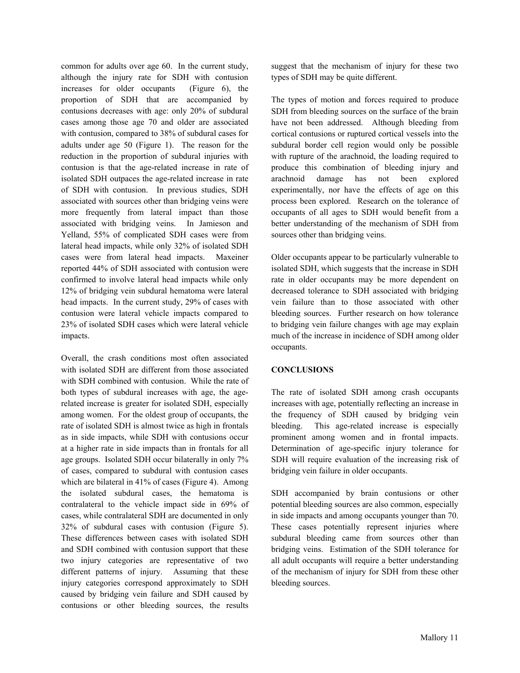common for adults over age 60. In the current study, although the injury rate for SDH with contusion increases for older occupants (Figure 6), the proportion of SDH that are accompanied by contusions decreases with age: only 20% of subdural cases among those age 70 and older are associated with contusion, compared to 38% of subdural cases for adults under age 50 (Figure 1). The reason for the reduction in the proportion of subdural injuries with contusion is that the age-related increase in rate of isolated SDH outpaces the age-related increase in rate of SDH with contusion. In previous studies, SDH associated with sources other than bridging veins were more frequently from lateral impact than those associated with bridging veins. In Jamieson and Yelland, 55% of complicated SDH cases were from lateral head impacts, while only 32% of isolated SDH cases were from lateral head impacts. Maxeiner reported 44% of SDH associated with contusion were confirmed to involve lateral head impacts while only 12% of bridging vein subdural hematoma were lateral head impacts. In the current study, 29% of cases with contusion were lateral vehicle impacts compared to 23% of isolated SDH cases which were lateral vehicle impacts.

Overall, the crash conditions most often associated with isolated SDH are different from those associated with SDH combined with contusion. While the rate of both types of subdural increases with age, the agerelated increase is greater for isolated SDH, especially among women. For the oldest group of occupants, the rate of isolated SDH is almost twice as high in frontals as in side impacts, while SDH with contusions occur at a higher rate in side impacts than in frontals for all age groups. Isolated SDH occur bilaterally in only 7% of cases, compared to subdural with contusion cases which are bilateral in 41% of cases (Figure 4). Among the isolated subdural cases, the hematoma is contralateral to the vehicle impact side in 69% of cases, while contralateral SDH are documented in only 32% of subdural cases with contusion (Figure 5). These differences between cases with isolated SDH and SDH combined with contusion support that these two injury categories are representative of two different patterns of injury. Assuming that these injury categories correspond approximately to SDH caused by bridging vein failure and SDH caused by contusions or other bleeding sources, the results suggest that the mechanism of injury for these two types of SDH may be quite different.

The types of motion and forces required to produce SDH from bleeding sources on the surface of the brain have not been addressed. Although bleeding from cortical contusions or ruptured cortical vessels into the subdural border cell region would only be possible with rupture of the arachnoid, the loading required to produce this combination of bleeding injury and arachnoid damage has not been explored experimentally, nor have the effects of age on this process been explored. Research on the tolerance of occupants of all ages to SDH would benefit from a better understanding of the mechanism of SDH from sources other than bridging veins.

Older occupants appear to be particularly vulnerable to isolated SDH, which suggests that the increase in SDH rate in older occupants may be more dependent on decreased tolerance to SDH associated with bridging vein failure than to those associated with other bleeding sources. Further research on how tolerance to bridging vein failure changes with age may explain much of the increase in incidence of SDH among older occupants.

# **CONCLUSIONS**

The rate of isolated SDH among crash occupants increases with age, potentially reflecting an increase in the frequency of SDH caused by bridging vein bleeding. This age-related increase is especially prominent among women and in frontal impacts. Determination of age-specific injury tolerance for SDH will require evaluation of the increasing risk of bridging vein failure in older occupants.

SDH accompanied by brain contusions or other potential bleeding sources are also common, especially in side impacts and among occupants younger than 70. These cases potentially represent injuries where subdural bleeding came from sources other than bridging veins. Estimation of the SDH tolerance for all adult occupants will require a better understanding of the mechanism of injury for SDH from these other bleeding sources.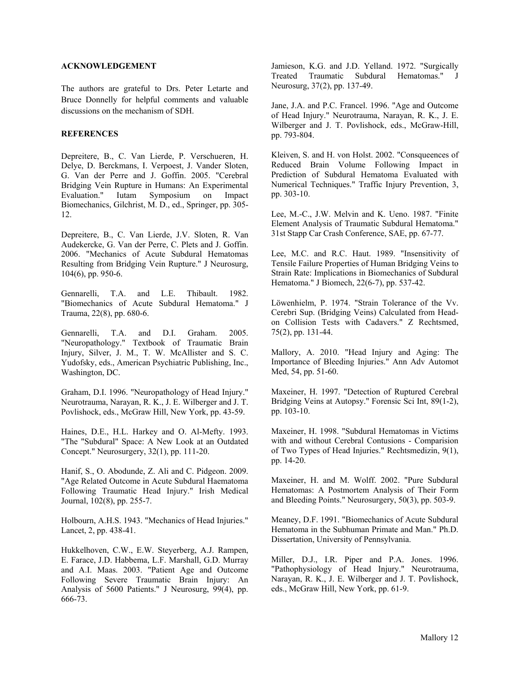### **ACKNOWLEDGEMENT**

The authors are grateful to Drs. Peter Letarte and Bruce Donnelly for helpful comments and valuable discussions on the mechanism of SDH.

#### **REFERENCES**

Depreitere, B., C. Van Lierde, P. Verschueren, H. Delye, D. Berckmans, I. Verpoest, J. Vander Sloten, G. Van der Perre and J. Goffin. 2005. "Cerebral Bridging Vein Rupture in Humans: An Experimental Evaluation." Iutam Symposium on Impact Biomechanics, Gilchrist, M. D., ed., Springer, pp. 305- 12.

Depreitere, B., C. Van Lierde, J.V. Sloten, R. Van Audekercke, G. Van der Perre, C. Plets and J. Goffin. 2006. "Mechanics of Acute Subdural Hematomas Resulting from Bridging Vein Rupture." J Neurosurg, 104(6), pp. 950-6.

Gennarelli, T.A. and L.E. Thibault. 1982. "Biomechanics of Acute Subdural Hematoma." J Trauma, 22(8), pp. 680-6.

Gennarelli, T.A. and D.I. Graham. 2005. "Neuropathology." Textbook of Traumatic Brain Injury, Silver, J. M., T. W. McAllister and S. C. Yudofsky, eds., American Psychiatric Publishing, Inc., Washington, DC.

Graham, D.I. 1996. "Neuropathology of Head Injury." Neurotrauma, Narayan, R. K., J. E. Wilberger and J. T. Povlishock, eds., McGraw Hill, New York, pp. 43-59.

Haines, D.E., H.L. Harkey and O. Al-Mefty. 1993. "The "Subdural" Space: A New Look at an Outdated Concept." Neurosurgery, 32(1), pp. 111-20.

Hanif, S., O. Abodunde, Z. Ali and C. Pidgeon. 2009. "Age Related Outcome in Acute Subdural Haematoma Following Traumatic Head Injury." Irish Medical Journal, 102(8), pp. 255-7.

Holbourn, A.H.S. 1943. "Mechanics of Head Injuries." Lancet, 2, pp. 438-41.

Hukkelhoven, C.W., E.W. Steyerberg, A.J. Rampen, E. Farace, J.D. Habbema, L.F. Marshall, G.D. Murray and A.I. Maas. 2003. "Patient Age and Outcome Following Severe Traumatic Brain Injury: An Analysis of 5600 Patients." J Neurosurg, 99(4), pp. 666-73.

Jamieson, K.G. and J.D. Yelland. 1972. "Surgically Treated Traumatic Subdural Hematomas." J Neurosurg, 37(2), pp. 137-49.

Jane, J.A. and P.C. Francel. 1996. "Age and Outcome of Head Injury." Neurotrauma, Narayan, R. K., J. E. Wilberger and J. T. Povlishock, eds., McGraw-Hill, pp. 793-804.

Kleiven, S. and H. von Holst. 2002. "Consqueences of Reduced Brain Volume Following Impact in Prediction of Subdural Hematoma Evaluated with Numerical Techniques." Traffic Injury Prevention, 3, pp. 303-10.

Lee, M.-C., J.W. Melvin and K. Ueno. 1987. "Finite Element Analysis of Traumatic Subdural Hematoma." 31st Stapp Car Crash Conference, SAE, pp. 67-77.

Lee, M.C. and R.C. Haut. 1989. "Insensitivity of Tensile Failure Properties of Human Bridging Veins to Strain Rate: Implications in Biomechanics of Subdural Hematoma." J Biomech, 22(6-7), pp. 537-42.

Löwenhielm, P. 1974. "Strain Tolerance of the Vv. Cerebri Sup. (Bridging Veins) Calculated from Headon Collision Tests with Cadavers." Z Rechtsmed, 75(2), pp. 131-44.

Mallory, A. 2010. "Head Injury and Aging: The Importance of Bleeding Injuries." Ann Adv Automot Med, 54, pp. 51-60.

Maxeiner, H. 1997. "Detection of Ruptured Cerebral Bridging Veins at Autopsy." Forensic Sci Int, 89(1-2), pp. 103-10.

Maxeiner, H. 1998. "Subdural Hematomas in Victims with and without Cerebral Contusions - Comparision of Two Types of Head Injuries." Rechtsmedizin, 9(1), pp. 14-20.

Maxeiner, H. and M. Wolff. 2002. "Pure Subdural Hematomas: A Postmortem Analysis of Their Form and Bleeding Points." Neurosurgery, 50(3), pp. 503-9.

Meaney, D.F. 1991. "Biomechanics of Acute Subdural Hematoma in the Subhuman Primate and Man." Ph.D. Dissertation, University of Pennsylvania.

Miller, D.J., I.R. Piper and P.A. Jones. 1996. "Pathophysiology of Head Injury." Neurotrauma, Narayan, R. K., J. E. Wilberger and J. T. Povlishock, eds., McGraw Hill, New York, pp. 61-9.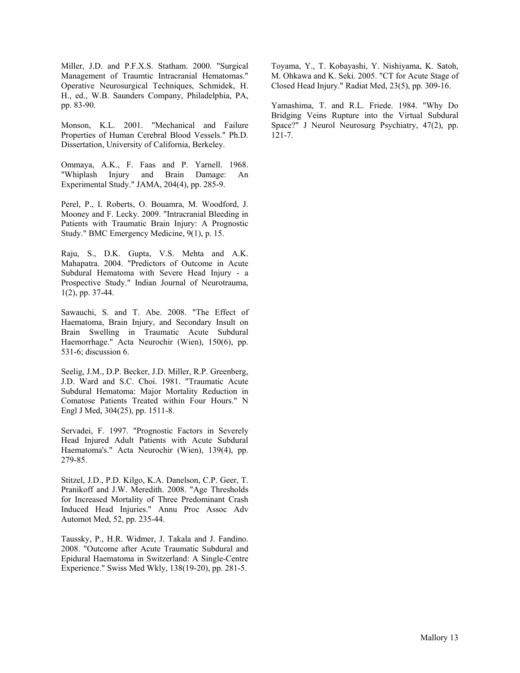Miller, J.D. and P.F.X.S. Statham. 2000. "Surgical Management of Traumtic Intracranial Hematomas." Operative Neurosurgical Techniques, Schmidek, H. H., ed., W.B. Saunders Company, Philadelphia, PA, pp. 83-90.

Monson, K.L. 2001. "Mechanical and Failure Properties of Human Cerebral Blood Vessels." Ph.D. Dissertation, University of California, Berkeley.

Ommaya, A.K., F. Faas and P. Yarnell. 1968. "Whiplash Injury and Brain Damage: An Experimental Study." JAMA, 204(4), pp. 285-9.

Perel, P., I. Roberts, O. Bouamra, M. Woodford, J. Mooney and F. Lecky. 2009. "Intracranial Bleeding in Patients with Traumatic Brain Injury: A Prognostic Study." BMC Emergency Medicine, 9(1), p. 15.

Raju, S., D.K. Gupta, V.S. Mehta and A.K. Mahapatra. 2004. "Predictors of Outcome in Acute Subdural Hematoma with Severe Head Injury - a Prospective Study." Indian Journal of Neurotrauma, 1(2), pp. 37-44.

Sawauchi, S. and T. Abe. 2008. "The Effect of Haematoma, Brain Injury, and Secondary Insult on Brain Swelling in Traumatic Acute Subdural Haemorrhage." Acta Neurochir (Wien), 150(6), pp. 531-6; discussion 6.

Seelig, J.M., D.P. Becker, J.D. Miller, R.P. Greenberg, J.D. Ward and S.C. Choi. 1981. "Traumatic Acute Subdural Hematoma: Major Mortality Reduction in Comatose Patients Treated within Four Hours." N Engl J Med, 304(25), pp. 1511-8.

Servadei, F. 1997. "Prognostic Factors in Severely Head Injured Adult Patients with Acute Subdural Haematoma's." Acta Neurochir (Wien), 139(4), pp. 279-85.

Stitzel, J.D., P.D. Kilgo, K.A. Danelson, C.P. Geer, T. Pranikoff and J.W. Meredith. 2008. "Age Thresholds for Increased Mortality of Three Predominant Crash Induced Head Injuries." Annu Proc Assoc Adv Automot Med, 52, pp. 235-44.

Taussky, P., H.R. Widmer, J. Takala and J. Fandino. 2008. "Outcome after Acute Traumatic Subdural and Epidural Haematoma in Switzerland: A Single-Centre Experience." Swiss Med Wkly, 138(19-20), pp. 281-5.

Toyama, Y., T. Kobayashi, Y. Nishiyama, K. Satoh, M. Ohkawa and K. Seki. 2005. "CT for Acute Stage of Closed Head Injury." Radiat Med, 23(5), pp. 309-16.

Yamashima, T. and R.L. Friede. 1984. "Why Do Bridging Veins Rupture into the Virtual Subdural Space?" J Neurol Neurosurg Psychiatry, 47(2), pp. 121-7.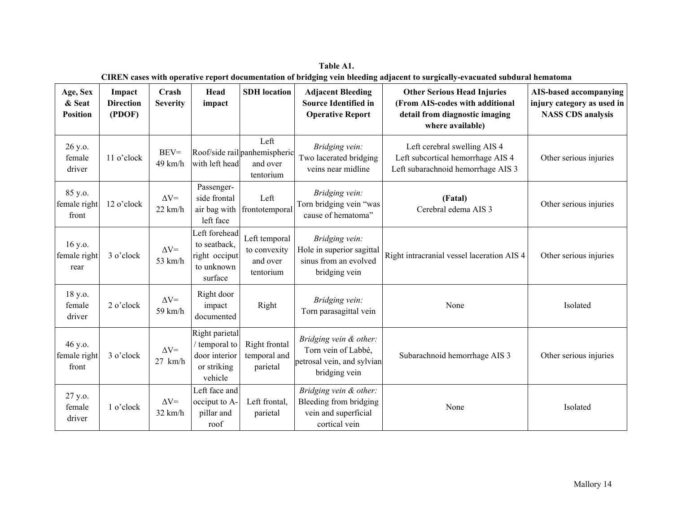| Age, Sex<br>& Seat<br><b>Position</b> | Impact<br><b>Direction</b><br>(PDOF) | Crash<br><b>Severity</b>          | Head<br>impact                                                             | <b>SDH</b> location                                            | <b>Adjacent Bleeding</b><br><b>Source Identified in</b><br><b>Operative Report</b>           | <b>Other Serious Head Injuries</b><br>(From AIS-codes with additional<br>detail from diagnostic imaging<br>where available) | AIS-based accompanying<br>injury category as used in<br><b>NASS CDS</b> analysis |
|---------------------------------------|--------------------------------------|-----------------------------------|----------------------------------------------------------------------------|----------------------------------------------------------------|----------------------------------------------------------------------------------------------|-----------------------------------------------------------------------------------------------------------------------------|----------------------------------------------------------------------------------|
| 26 y.o.<br>female<br>driver           | 11 o'clock                           | $BEV =$<br>49 km/h                | with left head                                                             | Left<br>Roof/side rail panhemispheric<br>and over<br>tentorium | Bridging vein:<br>Two lacerated bridging<br>veins near midline                               | Left cerebral swelling AIS 4<br>Left subcortical hemorrhage AIS 4<br>Left subarachnoid hemorrhage AIS 3                     | Other serious injuries                                                           |
| 85 y.o.<br>female right<br>front      | 12 o'clock                           | $\Delta V =$<br>$22 \text{ km/h}$ | Passenger-<br>side frontal<br>air bag with<br>left face                    | Left<br>frontotemporal                                         | Bridging vein:<br>Torn bridging vein "was<br>cause of hematoma"                              | (Fatal)<br>Cerebral edema AIS 3                                                                                             | Other serious injuries                                                           |
| 16 y.o.<br>female right<br>rear       | 3 o'clock                            | $\Delta V =$<br>53 km/h           | Left forehead<br>to seatback,<br>right occiput<br>to unknown<br>surface    | Left temporal<br>to convexity<br>and over<br>tentorium         | Bridging vein:<br>Hole in superior sagittal<br>sinus from an evolved<br>bridging vein        | Right intracranial vessel laceration AIS 4                                                                                  | Other serious injuries                                                           |
| 18 y.o.<br>female<br>driver           | 2 o'clock                            | $\Delta V =$<br>$59$ km/h         | Right door<br>impact<br>documented                                         | Right                                                          | Bridging vein:<br>Torn parasagittal vein                                                     | None                                                                                                                        | Isolated                                                                         |
| 46 y.o.<br>female right<br>front      | 3 o'clock                            | $\Delta V =$<br>$27$ km/h         | Right parietal<br>/ temporal to<br>door interior<br>or striking<br>vehicle | Right frontal<br>temporal and<br>parietal                      | Bridging vein & other:<br>Torn vein of Labbé,<br>petrosal vein, and sylvian<br>bridging vein | Subarachnoid hemorrhage AIS 3                                                                                               | Other serious injuries                                                           |
| 27 y.o.<br>female<br>driver           | 1 o'clock                            | $\Delta V =$<br>$32 \text{ km/h}$ | Left face and<br>occiput to A-<br>pillar and<br>roof                       | Left frontal,<br>parietal                                      | Bridging vein & other:<br>Bleeding from bridging<br>vein and superficial<br>cortical vein    | None                                                                                                                        | Isolated                                                                         |

**Table A1. CIREN cases with operative report documentation of bridging vein bleeding adjacent to surgically-evacuated subdural hematoma**